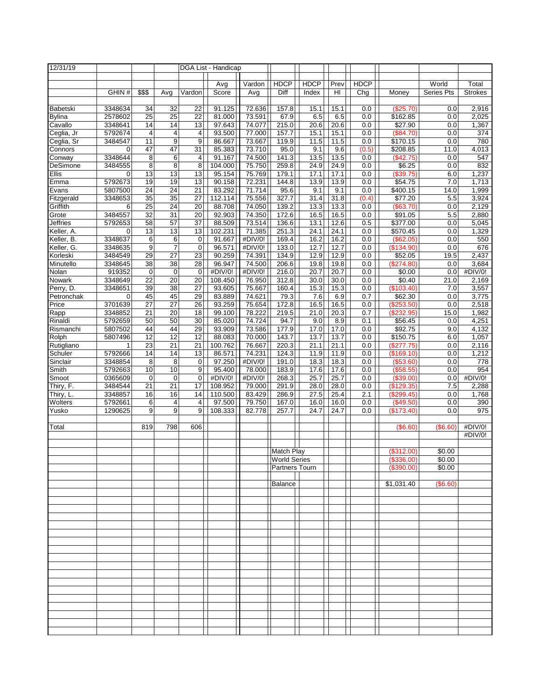| 12/31/19                 |                    |                       | DGA List - Handicap   |                       |                   |                  |                     |              |              |             |                          |                   |                |
|--------------------------|--------------------|-----------------------|-----------------------|-----------------------|-------------------|------------------|---------------------|--------------|--------------|-------------|--------------------------|-------------------|----------------|
|                          |                    |                       |                       |                       |                   |                  |                     |              |              |             |                          |                   |                |
|                          |                    |                       |                       |                       | Avg               | Vardon           | <b>HDCP</b>         | <b>HDCP</b>  | Prev         | <b>HDCP</b> |                          | World             | Total          |
|                          | GHIN#              | \$\$\$                | Avg                   | Vardon                | Score             | Avg              | Diff                | Index        | HI           | Chg         | Money                    | <b>Series Pts</b> | <b>Strokes</b> |
|                          |                    |                       |                       |                       |                   |                  |                     |              |              |             |                          |                   |                |
| Babetski                 | 3348634            | 34                    | 32                    | 22<br>$\overline{22}$ | 91.125<br>81.000  | 72.636           | 157.8               | 15.1         | 15.1         | 0.0         | (\$25.70)                | 0.0               | 2,916          |
| <b>Bylina</b><br>Cavallo | 2578602<br>3348641 | $\overline{25}$<br>14 | $\overline{25}$<br>14 | 13                    | 97.643            | 73.591<br>74.077 | 67.9<br>215.0       | 6.5<br>20.6  | 6.5<br>20.6  | 0.0<br>0.0  | \$162.85<br>\$27.90      | 0.0<br>0.0        | 2,025          |
| Ceglia, Jr               | 5792674            | 4                     | 4                     | 4                     | 93.500            | 77.000           | 157.7               | 15.1         | 15.1         | 0.0         | (\$84.70)                | 0.0               | 1,367<br>374   |
| Ceglia, Sr               | 3484547            | 11                    | 9                     | 9                     | 86.667            | 73.667           | 119.9               | 11.5         | 11.5         | 0.0         | \$170.15                 | 0.0               | 780            |
| Connors                  | 0                  | 47                    | 47                    | 31                    | 85.383            | 73.710           | 95.0                | 9.1          | 9.6          | (0.5)       | \$208.85                 | 11.0              | 4,013          |
| Conway                   | 3348644            | 8                     | 6                     | 4                     | 91.167            | 74.500           | 141.3               | 13.5         | 13.5         | 0.0         | (\$42.75)                | 0.0               | 547            |
| DeSimone                 | 3484555            | 8                     | 8                     | 8                     | 104.000           | 75.750           | 259.8               | 24.9         | 24.9         | 0.0         | \$6.25                   | 0.0               | 832            |
| Ellis                    | 0                  | $\overline{13}$       | 13                    | 13                    | 95.154            | 75.769           | 179.1               | 17.1         | 17.1         | 0.0         | (\$39.75)                | 6.0               | 1,237          |
| Emma                     | 5792673            | 19                    | 19                    | 13                    | 90.158            | 72.231           | 144.8               | 13.9         | 13.9         | 0.0         | \$54.75                  | 7.0               | 1,713          |
| Evans                    | 5807500            | $\overline{24}$       | $\overline{24}$       | 21                    | 83.292            | 71.714           | 95.6                | 9.1          | 9.1          | 0.0         | \$400.15                 | 14.0              | 1,999          |
| Fitzgerald               | 3348653            | 35                    | 35                    | 27                    | 112.114           | 75.556           | 327.7               | 31.4         | 31.8         | (0.4)       | \$77.20                  | 5.5               | 3,924          |
| Griffith                 | 6                  | $\overline{25}$       | 24<br>$\overline{31}$ | $\overline{20}$       | 88.708            | 74.050           | 139.2               | 13.3         | 13.3         | 0.0         | (\$63.70)                | 0.0               | 2,129          |
| Grote<br><b>Jeffries</b> | 3484557<br>5792653 | $\overline{32}$<br>58 | 57                    | $\overline{20}$<br>37 | 92.903<br>88.509  | 74.350<br>73.514 | 172.6<br>136.6      | 16.5<br>13.1 | 16.5<br>12.6 | 0.0<br>0.5  | \$91.05<br>\$377.00      | 5.5               | 2,880<br>5,045 |
| Keller, A.               | 0                  | 13                    | 13                    | 13                    | 102.231           | 71.385           | 251.3               | 24.1         | 24.1         | 0.0         | \$570.45                 | 0.0<br>0.0        | 1,329          |
| Keller, B.               | 3348637            | 6                     | 6                     | 0                     | 91.667            | #DIV/0!          | 169.4               | 16.2         | 16.2         | 0.0         | (\$62.05)                | 0.0               | 550            |
| Keller, G.               | 3348635            | 9                     | $\overline{7}$        | $\mathbf 0$           | 96.571            | #DIV/0!          | 133.0               | 12.7         | 12.7         | 0.0         | (\$134.90)               | 0.0               | 676            |
| Korleski                 | 3484549            | 29                    | $\overline{27}$       | $\overline{23}$       | 90.259            | 74.391           | 134.9               | 12.9         | 12.9         | 0.0         | \$52.05                  | 19.5              | 2,437          |
| Minutello                | 3348645            | 38                    | $\overline{38}$       | 28                    | 96.947            | 74.500           | 206.6               | 19.8         | 19.8         | 0.0         | (\$274.80)               | 0.0               | 3,684          |
| Nolan                    | 919352             | $\pmb{0}$             | $\mathbf 0$           | $\mathbf 0$           | #DIV/0!           | #DIV/0!          | 216.0               | 20.7         | 20.7         | 0.0         | \$0.00                   | 0.0               | #DIV/0!        |
| Nowark                   | 3348649            | 22                    | 20                    | 20                    | 108.450           | 76.950           | 312.8               | 30.0         | 30.0         | 0.0         | \$0.40                   | 21.0              | 2,169          |
| Perry, D.                | 3348651            | 39                    | 38                    | 27                    | 93.605            | 75.667           | 160.4               | 15.3         | 15.3         | 0.0         | (\$103.40)               | 7.0               | 3,557          |
| Petronchak               | 0                  | 45                    | 45                    | 29                    | 83.889            | 74.621           | 79.3                | 7.6          | 6.9          | 0.7         | \$62.30                  | 0.0               | 3,775          |
| Price                    | 3701639<br>3348852 | $\overline{27}$<br>21 | $\overline{27}$<br>20 | 26<br>18              | 93.259<br>99.100  | 75.654<br>78.222 | 172.8<br>219.5      | 16.5<br>21.0 | 16.5<br>20.3 | 0.0<br>0.7  | (\$253.50)<br>(\$232.95) | 0.0<br>15.0       | 2,518<br>1,982 |
| Rapp<br>Rinaldi          | 5792659            | 50                    | 50                    | 30                    | 85.020            | 74.724           | 94.7                | 9.0          | 8.9          | 0.1         | \$56.45                  | 0.0               | 4,251          |
| Rismanchi                | 5807502            | 44                    | 44                    | 29                    | 93.909            | 73.586           | 177.9               | 17.0         | 17.0         | 0.0         | \$92.75                  | 9.0               | 4,132          |
| Rolph                    | 5807496            | 12                    | 12                    | 12                    | 88.083            | 70.000           | 143.7               | 13.7         | 13.7         | 0.0         | \$150.75                 | 6.0               | 1,057          |
| Rutigliano               |                    | $\overline{23}$       | 21                    | 21                    | 100.762           | 76.667           | 220.3               | 21.1         | 21.1         | 0.0         | (\$277.75)               | 0.0               | 2,116          |
| Schuler                  | 5792666            | 14                    | 14                    | 13                    | 86.571            | 74.231           | 124.3               | 11.9         | 11.9         | 0.0         | (\$169.10)               | 0.0               | 1,212          |
| Sinclair                 | 3348854            | 8                     | 8                     | 0                     | 97.250            | #DIV/0!          | 191.0               | 18.3         | 18.3         | 0.0         | (\$53.60)                | 0.0               | 778            |
| Smith                    | 5792663            | 10                    | 10                    | 9                     | 95.400            | 78.000           | 183.9               | 17.6         | 17.6         | 0.0         | (\$58.55)                | 0.0               | 954            |
| Smoot                    | 0365609            | 0                     | $\mathbf 0$           | $\mathbf 0$           | #DIV/0!           | #DIV/0!          | 268.3               | 25.7         | 25.7         | 0.0         | (\$39.00)                | 0.0               | #DIV/0!        |
| Thiry, F.                | 3484544            | 21                    | 21                    | 17                    | 108.952           | 79.000           | 291.9               | 28.0         | 28.0         | 0.0         | (\$129.35)               | 7.5               | 2,288          |
| Thiry, L.<br>Wolters     | 3348857<br>5792661 | 16<br>6               | 16<br>4               | 14<br>4               | 110.500<br>97.500 | 83.429<br>79.750 | 286.9<br>167.0      | 27.5<br>16.0 | 25.4<br>16.0 | 2.1<br>0.0  | (\$299.45)<br>(\$49.50)  | 0.0<br>0.0        | 1,768<br>390   |
| Yusko                    | 1290625            | 9                     | 9                     | 9                     | 108.333           | 82.778           | 257.7               | 24.7         | 24.7         | 0.0         | (\$173.40)               | 0.0               | 975            |
|                          |                    |                       |                       |                       |                   |                  |                     |              |              |             |                          |                   |                |
| Total                    |                    | 819                   | 798                   | 606                   |                   |                  |                     |              |              |             | (S6.60)                  | $(\$6.60)$        | #DIV/0!        |
|                          |                    |                       |                       |                       |                   |                  |                     |              |              |             |                          |                   | #DIV/0!        |
|                          |                    |                       |                       |                       |                   |                  |                     |              |              |             |                          |                   |                |
|                          |                    |                       |                       |                       |                   |                  | <b>Match Play</b>   |              |              |             | (\$312.00)               | \$0.00            |                |
|                          |                    |                       |                       |                       |                   |                  | <b>World Series</b> |              |              |             | $($ \$336.00)            | \$0.00            |                |
|                          |                    |                       |                       |                       |                   |                  | Partners Tourn      |              |              |             | (\$390.00)               | \$0.00            |                |
|                          |                    |                       |                       |                       |                   |                  | <b>Balance</b>      |              |              |             | \$1,031.40               | (\$6.60)          |                |
|                          |                    |                       |                       |                       |                   |                  |                     |              |              |             |                          |                   |                |
|                          |                    |                       |                       |                       |                   |                  |                     |              |              |             |                          |                   |                |
|                          |                    |                       |                       |                       |                   |                  |                     |              |              |             |                          |                   |                |
|                          |                    |                       |                       |                       |                   |                  |                     |              |              |             |                          |                   |                |
|                          |                    |                       |                       |                       |                   |                  |                     |              |              |             |                          |                   |                |
|                          |                    |                       |                       |                       |                   |                  |                     |              |              |             |                          |                   |                |
|                          |                    |                       |                       |                       |                   |                  |                     |              |              |             |                          |                   |                |
|                          |                    |                       |                       |                       |                   |                  |                     |              |              |             |                          |                   |                |
|                          |                    |                       |                       |                       |                   |                  |                     |              |              |             |                          |                   |                |
|                          |                    |                       |                       |                       |                   |                  |                     |              |              |             |                          |                   |                |
|                          |                    |                       |                       |                       |                   |                  |                     |              |              |             |                          |                   |                |
|                          |                    |                       |                       |                       |                   |                  |                     |              |              |             |                          |                   |                |
|                          |                    |                       |                       |                       |                   |                  |                     |              |              |             |                          |                   |                |
|                          |                    |                       |                       |                       |                   |                  |                     |              |              |             |                          |                   |                |
|                          |                    |                       |                       |                       |                   |                  |                     |              |              |             |                          |                   |                |
|                          |                    |                       |                       |                       |                   |                  |                     |              |              |             |                          |                   |                |